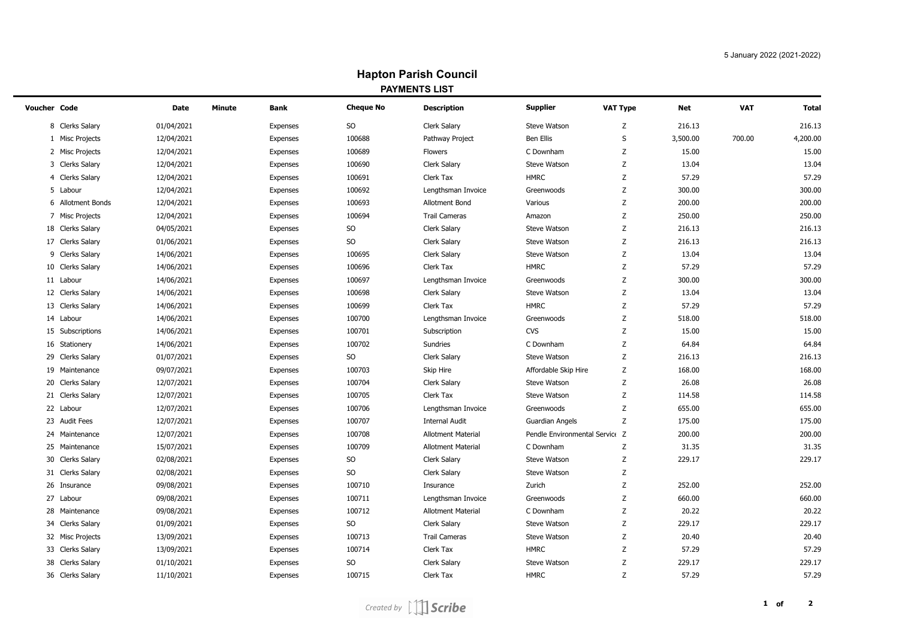## **Hapton Parish Council PAYMENTS LIST**

| <u>, ALMENTO LIVI</u> |             |               |             |                  |                           |                                |                 |          |            |              |
|-----------------------|-------------|---------------|-------------|------------------|---------------------------|--------------------------------|-----------------|----------|------------|--------------|
| Voucher Code          | <b>Date</b> | <b>Minute</b> | <b>Bank</b> | <b>Cheque No</b> | <b>Description</b>        | <b>Supplier</b>                | <b>VAT Type</b> | Net      | <b>VAT</b> | <b>Total</b> |
| 8 Clerks Salary       | 01/04/2021  |               | Expenses    | SO               | Clerk Salary              | <b>Steve Watson</b>            | Z               | 216.13   |            | 216.13       |
| 1 Misc Projects       | 12/04/2021  |               | Expenses    | 100688           | Pathway Project           | <b>Ben Ellis</b>               | S               | 3,500.00 | 700.00     | 4,200.00     |
| 2 Misc Projects       | 12/04/2021  |               | Expenses    | 100689           | Flowers                   | C Downham                      | Z               | 15.00    |            | 15.00        |
| 3 Clerks Salary       | 12/04/2021  |               | Expenses    | 100690           | Clerk Salary              | Steve Watson                   | Z               | 13.04    |            | 13.04        |
| 4 Clerks Salary       | 12/04/2021  |               | Expenses    | 100691           | Clerk Tax                 | <b>HMRC</b>                    | Z               | 57.29    |            | 57.29        |
| 5 Labour              | 12/04/2021  |               | Expenses    | 100692           | Lengthsman Invoice        | Greenwoods                     | Z               | 300.00   |            | 300.00       |
| 6 Allotment Bonds     | 12/04/2021  |               | Expenses    | 100693           | Allotment Bond            | Various                        | Z               | 200.00   |            | 200.00       |
| 7 Misc Projects       | 12/04/2021  |               | Expenses    | 100694           | <b>Trail Cameras</b>      | Amazon                         | Z               | 250.00   |            | 250.00       |
| 18 Clerks Salary      | 04/05/2021  |               | Expenses    | SO               | Clerk Salary              | Steve Watson                   | Z               | 216.13   |            | 216.13       |
| 17 Clerks Salary      | 01/06/2021  |               | Expenses    | SO               | Clerk Salary              | Steve Watson                   | Z               | 216.13   |            | 216.13       |
| 9 Clerks Salary       | 14/06/2021  |               | Expenses    | 100695           | Clerk Salary              | Steve Watson                   | Z               | 13.04    |            | 13.04        |
| 10 Clerks Salary      | 14/06/2021  |               | Expenses    | 100696           | Clerk Tax                 | <b>HMRC</b>                    | Z               | 57.29    |            | 57.29        |
| 11 Labour             | 14/06/2021  |               | Expenses    | 100697           | Lengthsman Invoice        | Greenwoods                     | $\mathsf{Z}$    | 300.00   |            | 300.00       |
| 12 Clerks Salary      | 14/06/2021  |               | Expenses    | 100698           | Clerk Salary              | Steve Watson                   | Z               | 13.04    |            | 13.04        |
| 13 Clerks Salary      | 14/06/2021  |               | Expenses    | 100699           | Clerk Tax                 | <b>HMRC</b>                    | Z               | 57.29    |            | 57.29        |
| 14 Labour             | 14/06/2021  |               | Expenses    | 100700           | Lengthsman Invoice        | Greenwoods                     | Z               | 518.00   |            | 518.00       |
| 15 Subscriptions      | 14/06/2021  |               | Expenses    | 100701           | Subscription              | <b>CVS</b>                     | Z               | 15.00    |            | 15.00        |
| 16 Stationery         | 14/06/2021  |               | Expenses    | 100702           | Sundries                  | C Downham                      | Z               | 64.84    |            | 64.84        |
| 29 Clerks Salary      | 01/07/2021  |               | Expenses    | SO.              | Clerk Salary              | Steve Watson                   | Z               | 216.13   |            | 216.13       |
| 19 Maintenance        | 09/07/2021  |               | Expenses    | 100703           | Skip Hire                 | Affordable Skip Hire           | Z               | 168.00   |            | 168.00       |
| 20 Clerks Salary      | 12/07/2021  |               | Expenses    | 100704           | Clerk Salary              | Steve Watson                   | Z               | 26.08    |            | 26.08        |
| 21 Clerks Salary      | 12/07/2021  |               | Expenses    | 100705           | Clerk Tax                 | Steve Watson                   | Z               | 114.58   |            | 114.58       |
| 22 Labour             | 12/07/2021  |               | Expenses    | 100706           | Lengthsman Invoice        | Greenwoods                     | Z               | 655.00   |            | 655.00       |
| 23 Audit Fees         | 12/07/2021  |               | Expenses    | 100707           | <b>Internal Audit</b>     | Guardian Angels                | Z               | 175.00   |            | 175.00       |
| 24 Maintenance        | 12/07/2021  |               | Expenses    | 100708           | <b>Allotment Material</b> | Pendle Environmental Service Z |                 | 200.00   |            | 200.00       |
| 25 Maintenance        | 15/07/2021  |               | Expenses    | 100709           | <b>Allotment Material</b> | C Downham                      | Z               | 31.35    |            | 31.35        |
| 30 Clerks Salary      | 02/08/2021  |               | Expenses    | SO.              | Clerk Salary              | Steve Watson                   | Z               | 229.17   |            | 229.17       |
| 31 Clerks Salary      | 02/08/2021  |               | Expenses    | SO               | Clerk Salary              | Steve Watson                   | Z               |          |            |              |
| 26 Insurance          | 09/08/2021  |               | Expenses    | 100710           | Insurance                 | Zurich                         | Z               | 252.00   |            | 252.00       |
| 27 Labour             | 09/08/2021  |               | Expenses    | 100711           | Lengthsman Invoice        | Greenwoods                     | Z               | 660.00   |            | 660.00       |
| 28 Maintenance        | 09/08/2021  |               | Expenses    | 100712           | <b>Allotment Material</b> | C Downham                      | Z               | 20.22    |            | 20.22        |
| 34 Clerks Salary      | 01/09/2021  |               | Expenses    | SO               | Clerk Salary              | Steve Watson                   | Z               | 229.17   |            | 229.17       |
| 32 Misc Projects      | 13/09/2021  |               | Expenses    | 100713           | <b>Trail Cameras</b>      | Steve Watson                   | Z               | 20.40    |            | 20.40        |
| 33 Clerks Salary      | 13/09/2021  |               | Expenses    | 100714           | Clerk Tax                 | <b>HMRC</b>                    | Z               | 57.29    |            | 57.29        |
| 38 Clerks Salary      | 01/10/2021  |               | Expenses    | SO               | Clerk Salary              | Steve Watson                   | Z               | 229.17   |            | 229.17       |
| 36 Clerks Salary      | 11/10/2021  |               | Expenses    | 100715           | Clerk Tax                 | <b>HMRC</b>                    | Z               | 57.29    |            | 57.29        |